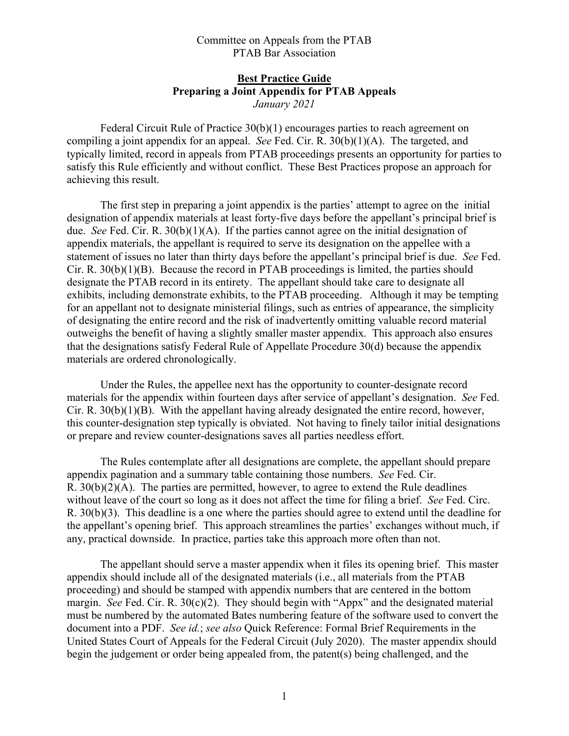## Committee on Appeals from the PTAB PTAB Bar Association

## **Best Practice Guide Preparing a Joint Appendix for PTAB Appeals**  *January 2021*

 Federal Circuit Rule of Practice 30(b)(1) encourages parties to reach agreement on compiling a joint appendix for an appeal. *See* Fed. Cir. R. 30(b)(1)(A). The targeted, and typically limited, record in appeals from PTAB proceedings presents an opportunity for parties to satisfy this Rule efficiently and without conflict. These Best Practices propose an approach for achieving this result.

 The first step in preparing a joint appendix is the parties' attempt to agree on the initial designation of appendix materials at least forty-five days before the appellant's principal brief is due. *See* Fed. Cir. R. 30(b)(1)(A). If the parties cannot agree on the initial designation of appendix materials, the appellant is required to serve its designation on the appellee with a statement of issues no later than thirty days before the appellant's principal brief is due. *See* Fed. Cir. R. 30(b)(1)(B). Because the record in PTAB proceedings is limited, the parties should designate the PTAB record in its entirety. The appellant should take care to designate all exhibits, including demonstrate exhibits, to the PTAB proceeding. Although it may be tempting for an appellant not to designate ministerial filings, such as entries of appearance, the simplicity of designating the entire record and the risk of inadvertently omitting valuable record material outweighs the benefit of having a slightly smaller master appendix. This approach also ensures that the designations satisfy Federal Rule of Appellate Procedure 30(d) because the appendix materials are ordered chronologically.

 Under the Rules, the appellee next has the opportunity to counter-designate record materials for the appendix within fourteen days after service of appellant's designation. *See* Fed. Cir. R. 30(b)(1)(B). With the appellant having already designated the entire record, however, this counter-designation step typically is obviated. Not having to finely tailor initial designations or prepare and review counter-designations saves all parties needless effort.

 The Rules contemplate after all designations are complete, the appellant should prepare appendix pagination and a summary table containing those numbers. *See* Fed. Cir. R.  $30(b)(2)(A)$ . The parties are permitted, however, to agree to extend the Rule deadlines without leave of the court so long as it does not affect the time for filing a brief. *See* Fed. Circ. R. 30(b)(3). This deadline is a one where the parties should agree to extend until the deadline for the appellant's opening brief. This approach streamlines the parties' exchanges without much, if any, practical downside. In practice, parties take this approach more often than not.

 The appellant should serve a master appendix when it files its opening brief. This master appendix should include all of the designated materials (i.e., all materials from the PTAB proceeding) and should be stamped with appendix numbers that are centered in the bottom margin. *See* Fed. Cir. R. 30(c)(2). They should begin with "Appx" and the designated material must be numbered by the automated Bates numbering feature of the software used to convert the document into a PDF. *See id.*; *see also* Quick Reference: Formal Brief Requirements in the United States Court of Appeals for the Federal Circuit (July 2020). The master appendix should begin the judgement or order being appealed from, the patent(s) being challenged, and the